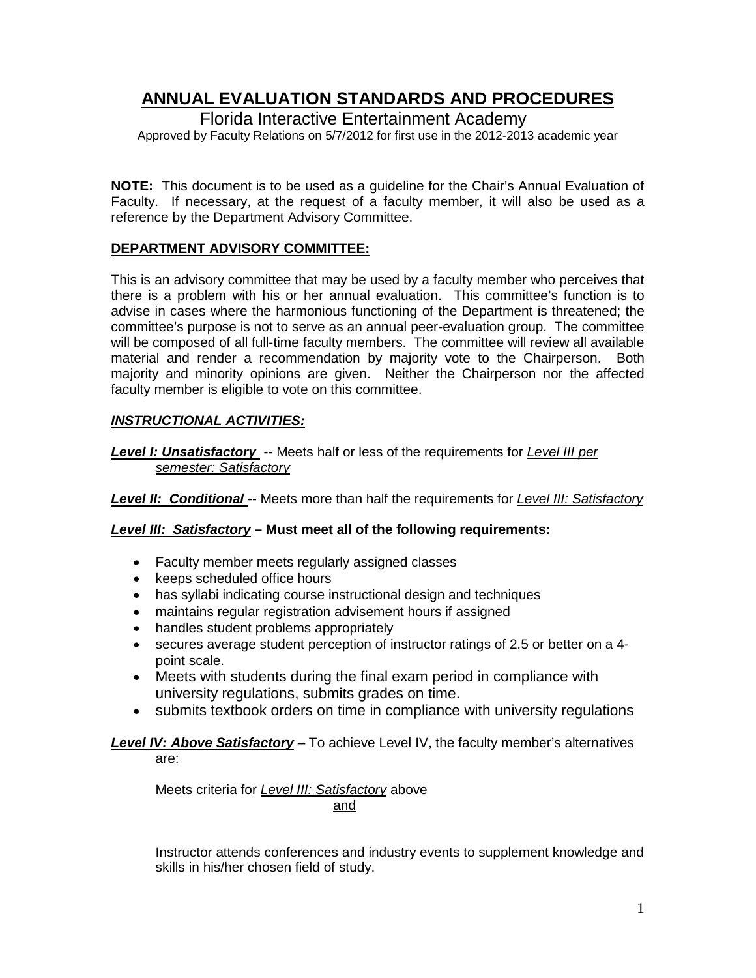# **ANNUAL EVALUATION STANDARDS AND PROCEDURES**

### Florida Interactive Entertainment Academy

Approved by Faculty Relations on 5/7/2012 for first use in the 2012-2013 academic year

**NOTE:** This document is to be used as a guideline for the Chair's Annual Evaluation of Faculty. If necessary, at the request of a faculty member, it will also be used as a reference by the Department Advisory Committee.

### **DEPARTMENT ADVISORY COMMITTEE:**

This is an advisory committee that may be used by a faculty member who perceives that there is a problem with his or her annual evaluation. This committee's function is to advise in cases where the harmonious functioning of the Department is threatened; the committee's purpose is not to serve as an annual peer-evaluation group. The committee will be composed of all full-time faculty members. The committee will review all available material and render a recommendation by majority vote to the Chairperson. Both majority and minority opinions are given. Neither the Chairperson nor the affected faculty member is eligible to vote on this committee.

# *INSTRUCTIONAL ACTIVITIES:*

*Level I: Unsatisfactory* -- Meets half or less of the requirements for *Level III per semester: Satisfactory*

*Level II: Conditional* -- Meets more than half the requirements for *Level III: Satisfactory*

### *Level III: Satisfactory* **– Must meet all of the following requirements:**

- Faculty member meets regularly assigned classes
- keeps scheduled office hours
- has syllabi indicating course instructional design and techniques
- maintains regular registration advisement hours if assigned
- handles student problems appropriately
- secures average student perception of instructor ratings of 2.5 or better on a 4 point scale.
- Meets with students during the final exam period in compliance with university regulations, submits grades on time.
- submits textbook orders on time in compliance with university regulations

### *Level IV: Above Satisfactory* – To achieve Level IV, the faculty member's alternatives are:

Meets criteria for *Level III: Satisfactory* above and

Instructor attends conferences and industry events to supplement knowledge and skills in his/her chosen field of study.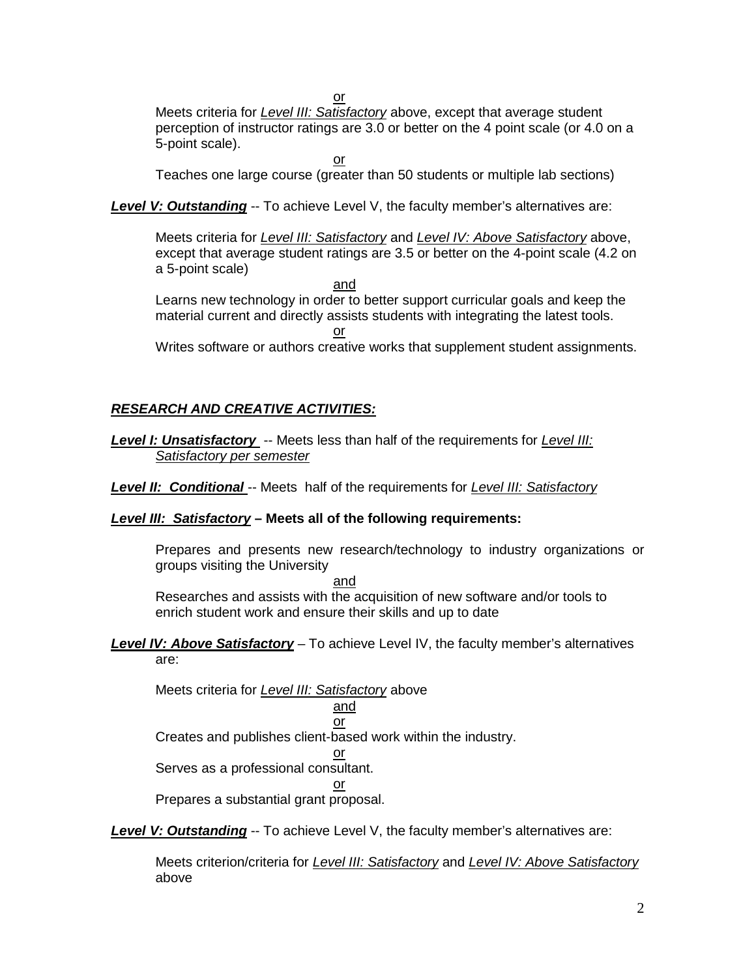or

Meets criteria for *Level III: Satisfactory* above, except that average student perception of instructor ratings are 3.0 or better on the 4 point scale (or 4.0 on a 5-point scale).

or

Teaches one large course (greater than 50 students or multiple lab sections)

**Level V: Outstanding** -- To achieve Level V, the faculty member's alternatives are:

Meets criteria for *Level III: Satisfactory* and *Level IV: Above Satisfactory* above, except that average student ratings are 3.5 or better on the 4-point scale (4.2 on a 5-point scale)

and Learns new technology in order to better support curricular goals and keep the material current and directly assists students with integrating the latest tools. or Writes software or authors creative works that supplement student assignments.

# *RESEARCH AND CREATIVE ACTIVITIES:*

*Level I: Unsatisfactory* -- Meets less than half of the requirements for *Level III: Satisfactory per semester*

*Level II: Conditional* -- Meets half of the requirements for *Level III: Satisfactory*

# *Level III: Satisfactory* **– Meets all of the following requirements:**

Prepares and presents new research/technology to industry organizations or groups visiting the University

and

Researches and assists with the acquisition of new software and/or tools to enrich student work and ensure their skills and up to date

*Level IV: Above Satisfactory* – To achieve Level IV, the faculty member's alternatives are:

Meets criteria for *Level III: Satisfactory* above and

$$
\frac{\frac{\text{and}}{\text{or}}}{\text{or}}
$$

Creates and publishes client-based work within the industry.

or Serves as a professional consultant.

or

Prepares a substantial grant proposal.

**Level V: Outstanding** -- To achieve Level V, the faculty member's alternatives are:

Meets criterion/criteria for *Level III: Satisfactory* and *Level IV: Above Satisfactory* above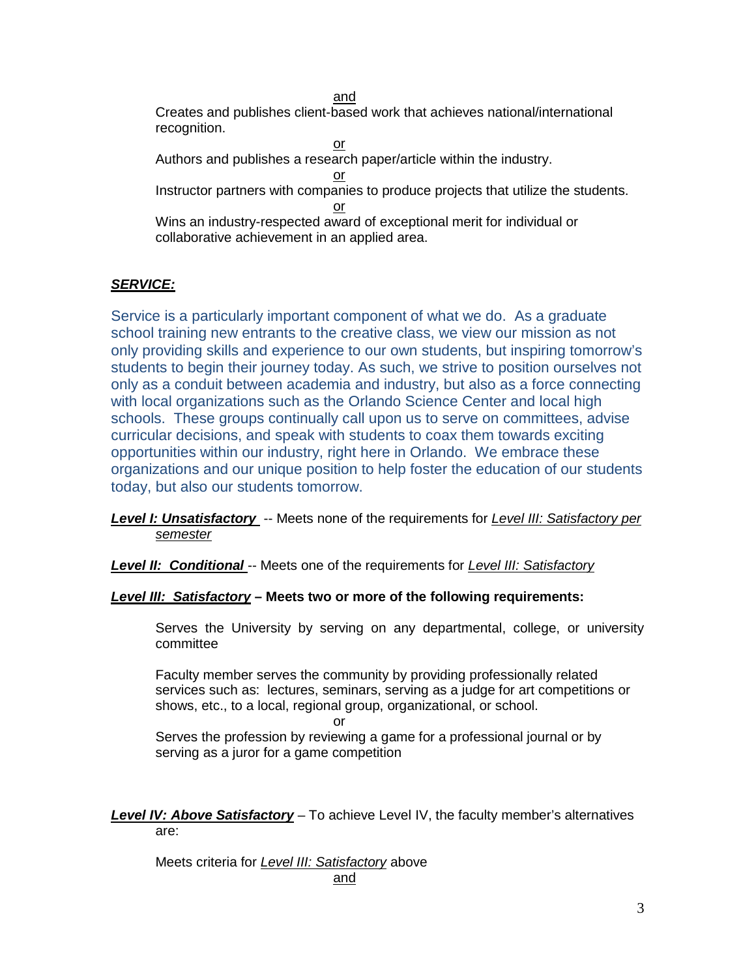and Creates and publishes client-based work that achieves national/international recognition.

or Authors and publishes a research paper/article within the industry. or Instructor partners with companies to produce projects that utilize the students. or Wins an industry-respected award of exceptional merit for individual or collaborative achievement in an applied area.

# *SERVICE:*

Service is a particularly important component of what we do. As a graduate school training new entrants to the creative class, we view our mission as not only providing skills and experience to our own students, but inspiring tomorrow's students to begin their journey today. As such, we strive to position ourselves not only as a conduit between academia and industry, but also as a force connecting with local organizations such as the Orlando Science Center and local high schools. These groups continually call upon us to serve on committees, advise curricular decisions, and speak with students to coax them towards exciting opportunities within our industry, right here in Orlando. We embrace these organizations and our unique position to help foster the education of our students today, but also our students tomorrow.

*Level I: Unsatisfactory* -- Meets none of the requirements for *Level III: Satisfactory per semester*

*Level II: Conditional* -- Meets one of the requirements for *Level III: Satisfactory*

### *Level III: Satisfactory* **– Meets two or more of the following requirements:**

Serves the University by serving on any departmental, college, or university committee

Faculty member serves the community by providing professionally related services such as: lectures, seminars, serving as a judge for art competitions or shows, etc., to a local, regional group, organizational, or school.

or

Serves the profession by reviewing a game for a professional journal or by serving as a juror for a game competition

*Level IV: Above Satisfactory* – To achieve Level IV, the faculty member's alternatives are:

Meets criteria for *Level III: Satisfactory* above and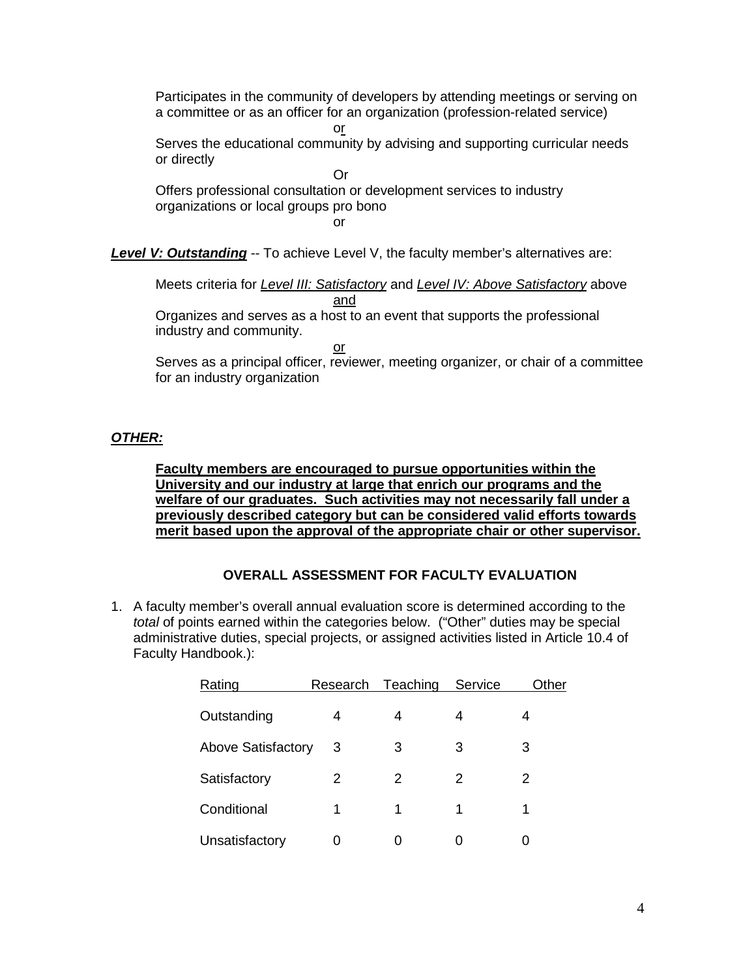Participates in the community of developers by attending meetings or serving on a committee or as an officer for an organization (profession-related service)

or

Serves the educational community by advising and supporting curricular needs or directly

Or Offers professional consultation or development services to industry organizations or local groups pro bono or

**Level V: Outstanding** -- To achieve Level V, the faculty member's alternatives are:

Meets criteria for *Level III: Satisfactory* and *Level IV: Above Satisfactory* above and

Organizes and serves as a host to an event that supports the professional industry and community.

or

Serves as a principal officer, reviewer, meeting organizer, or chair of a committee for an industry organization

# *OTHER:*

**Faculty members are encouraged to pursue opportunities within the University and our industry at large that enrich our programs and the welfare of our graduates. Such activities may not necessarily fall under a previously described category but can be considered valid efforts towards merit based upon the approval of the appropriate chair or other supervisor.**

# **OVERALL ASSESSMENT FOR FACULTY EVALUATION**

1. A faculty member's overall annual evaluation score is determined according to the *total* of points earned within the categories below. ("Other" duties may be special administrative duties, special projects, or assigned activities listed in Article 10.4 of Faculty Handbook.):

| Rating                    | Research | Teaching | Service | Other |
|---------------------------|----------|----------|---------|-------|
| Outstanding               | 4        | 4        | 4       | 4     |
| <b>Above Satisfactory</b> | -3       | 3        | 3       | 3     |
| Satisfactory              | 2        | 2        | 2       | 2     |
| Conditional               | 1        | 1        | 1       | 1     |
| Unsatisfactory            |          |          |         |       |